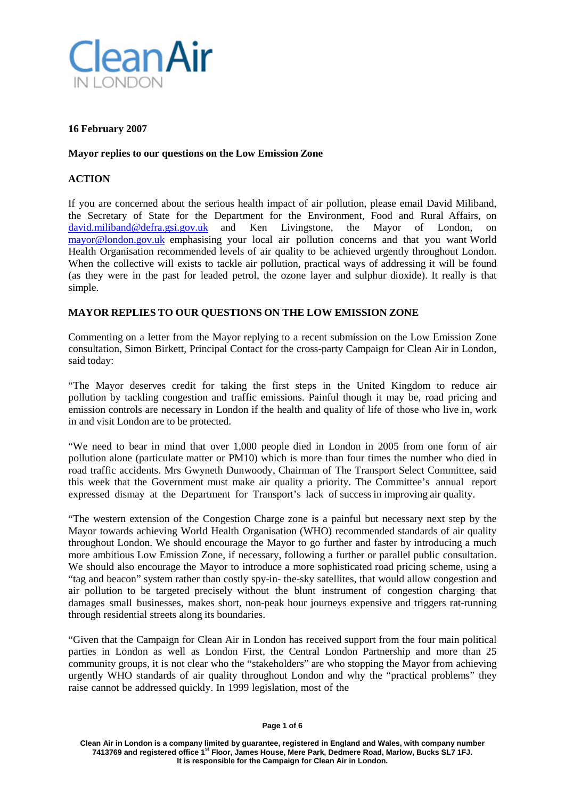

# **16 February 2007**

### **Mayor replies to our questions on the Low Emission Zone**

# **ACTION**

If you are concerned about the serious health impact of air pollution, please email David Miliband, the Secretary of State for the Department for the Environment, Food and Rural Affairs, on [david.miliband@defra.gsi.gov.uk](mailto:david.miliband@defra.gsi.gov.uk) and Ken Livingstone, the Mayor of London, on [mayor@london.gov.uk](mailto:mayor@london.gov.uk) emphasising your local air pollution concerns and that you want World Health Organisation recommended levels of air quality to be achieved urgently throughout London. When the collective will exists to tackle air pollution, practical ways of addressing it will be found (as they were in the past for leaded petrol, the ozone layer and sulphur dioxide). It really is that simple.

## **MAYOR REPLIES TO OUR QUESTIONS ON THE LOW EMISSION ZONE**

Commenting on a letter from the Mayor replying to a recent submission on the Low Emission Zone consultation, Simon Birkett, Principal Contact for the cross-party Campaign for Clean Air in London, said today:

"The Mayor deserves credit for taking the first steps in the United Kingdom to reduce air pollution by tackling congestion and traffic emissions. Painful though it may be, road pricing and emission controls are necessary in London if the health and quality of life of those who live in, work in and visit London are to be protected.

"We need to bear in mind that over 1,000 people died in London in 2005 from one form of air pollution alone (particulate matter or PM10) which is more than four times the number who died in road traffic accidents. Mrs Gwyneth Dunwoody, Chairman of The Transport Select Committee, said this week that the Government must make air quality a priority. The Committee's annual report expressed dismay at the Department for Transport's lack of success in improving air quality.

"The western extension of the Congestion Charge zone is a painful but necessary next step by the Mayor towards achieving World Health Organisation (WHO) recommended standards of air quality throughout London. We should encourage the Mayor to go further and faster by introducing a much more ambitious Low Emission Zone, if necessary, following a further or parallel public consultation. We should also encourage the Mayor to introduce a more sophisticated road pricing scheme, using a "tag and beacon" system rather than costly spy-in- the-sky satellites, that would allow congestion and air pollution to be targeted precisely without the blunt instrument of congestion charging that damages small businesses, makes short, non-peak hour journeys expensive and triggers rat-running through residential streets along its boundaries.

"Given that the Campaign for Clean Air in London has received support from the four main political parties in London as well as London First, the Central London Partnership and more than 25 community groups, it is not clear who the "stakeholders" are who stopping the Mayor from achieving urgently WHO standards of air quality throughout London and why the "practical problems" they raise cannot be addressed quickly. In 1999 legislation, most of the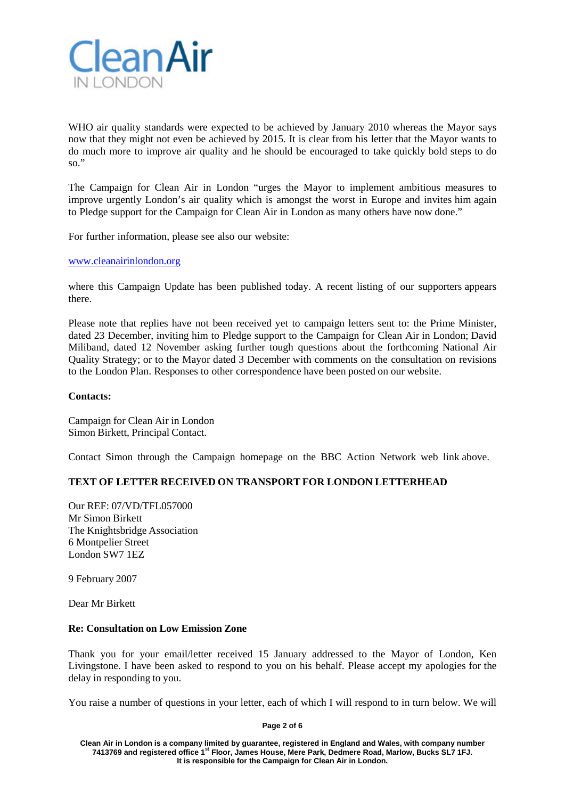

WHO air quality standards were expected to be achieved by January 2010 whereas the Mayor says now that they might not even be achieved by 2015. It is clear from his letter that the Mayor wants to do much more to improve air quality and he should be encouraged to take quickly bold steps to do so."

The Campaign for Clean Air in London "urges the Mayor to implement ambitious measures to improve urgently London's air quality which is amongst the worst in Europe and invites him again to Pledge support for the Campaign for Clean Air in London as many others have now done."

For further information, please see also our website:

### [www.cleanairinlondon.org](http://www.bbc.co.uk/dna/actionnetwork/G1956)

where this Campaign Update has been published today. A recent listing of our supporters appears there.

Please note that replies have not been received yet to campaign letters sent to: the Prime Minister, dated 23 December, inviting him to Pledge support to the Campaign for Clean Air in London; David Miliband, dated 12 November asking further tough questions about the forthcoming National Air Quality Strategy; or to the Mayor dated 3 December with comments on the consultation on revisions to the London Plan. Responses to other correspondence have been posted on our website.

### **Contacts:**

Campaign for Clean Air in London Simon Birkett, Principal Contact.

Contact Simon through the Campaign homepage on the BBC Action Network web link above.

## **TEXT OF LETTER RECEIVED ON TRANSPORT FOR LONDON LETTERHEAD**

Our REF: 07/VD/TFL057000 Mr Simon Birkett The Knightsbridge Association 6 Montpelier Street London SW7 1EZ

9 February 2007

Dear Mr Birkett

#### **Re: Consultation on Low Emission Zone**

Thank you for your email/letter received 15 January addressed to the Mayor of London, Ken Livingstone. I have been asked to respond to you on his behalf. Please accept my apologies for the delay in responding to you.

You raise a number of questions in your letter, each of which I will respond to in turn below. We will

**Page 2 of 6**

**Clean Air in London is a company limited by guarantee, registered in England and Wales, with company number 7413769 and registered office 1st Floor, James House, Mere Park, Dedmere Road, Marlow, Bucks SL7 1FJ. It is responsible for the Campaign for Clean Air in London.**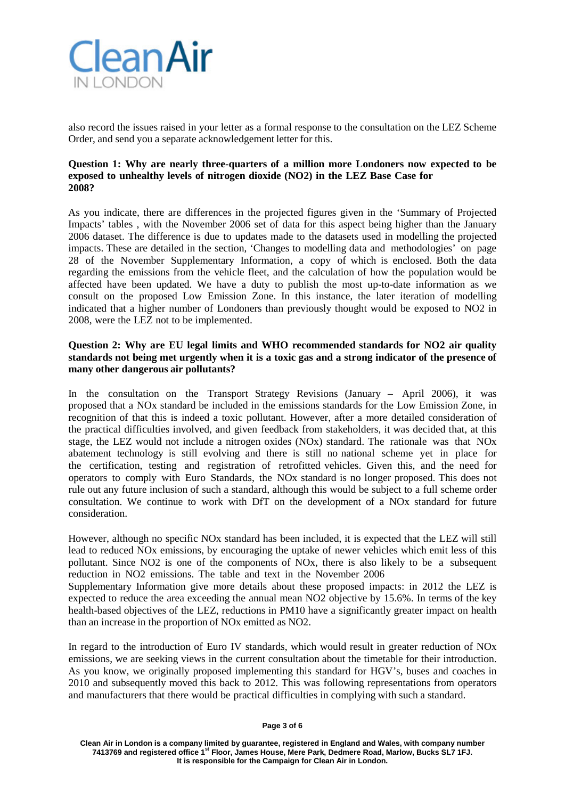

also record the issues raised in your letter as a formal response to the consultation on the LEZ Scheme Order, and send you a separate acknowledgement letter for this.

### **Question 1: Why are nearly three-quarters of a million more Londoners now expected to be exposed to unhealthy levels of nitrogen dioxide (NO2) in the LEZ Base Case for 2008?**

As you indicate, there are differences in the projected figures given in the 'Summary of Projected Impacts' tables , with the November 2006 set of data for this aspect being higher than the January 2006 dataset. The difference is due to updates made to the datasets used in modelling the projected impacts. These are detailed in the section, 'Changes to modelling data and methodologies' on page 28 of the November Supplementary Information, a copy of which is enclosed. Both the data regarding the emissions from the vehicle fleet, and the calculation of how the population would be affected have been updated. We have a duty to publish the most up-to-date information as we consult on the proposed Low Emission Zone. In this instance, the later iteration of modelling indicated that a higher number of Londoners than previously thought would be exposed to NO2 in 2008, were the LEZ not to be implemented.

# **Question 2: Why are EU legal limits and WHO recommended standards for NO2 air quality standards not being met urgently when it is a toxic gas and a strong indicator of the presence of many other dangerous air pollutants?**

In the consultation on the Transport Strategy Revisions (January – April 2006), it was proposed that a NOx standard be included in the emissions standards for the Low Emission Zone, in recognition of that this is indeed a toxic pollutant. However, after a more detailed consideration of the practical difficulties involved, and given feedback from stakeholders, it was decided that, at this stage, the LEZ would not include a nitrogen oxides (NOx) standard. The rationale was that NOx abatement technology is still evolving and there is still no national scheme yet in place for the certification, testing and registration of retrofitted vehicles. Given this, and the need for operators to comply with Euro Standards, the NOx standard is no longer proposed. This does not rule out any future inclusion of such a standard, although this would be subject to a full scheme order consultation. We continue to work with DfT on the development of a NOx standard for future consideration.

However, although no specific NOx standard has been included, it is expected that the LEZ will still lead to reduced NOx emissions, by encouraging the uptake of newer vehicles which emit less of this pollutant. Since NO2 is one of the components of NOx, there is also likely to be a subsequent reduction in NO2 emissions. The table and text in the November 2006

Supplementary Information give more details about these proposed impacts: in 2012 the LEZ is expected to reduce the area exceeding the annual mean NO2 objective by 15.6%. In terms of the key health-based objectives of the LEZ, reductions in PM10 have a significantly greater impact on health than an increase in the proportion of NOx emitted as NO2.

In regard to the introduction of Euro IV standards, which would result in greater reduction of NOx emissions, we are seeking views in the current consultation about the timetable for their introduction. As you know, we originally proposed implementing this standard for HGV's, buses and coaches in 2010 and subsequently moved this back to 2012. This was following representations from operators and manufacturers that there would be practical difficulties in complying with such a standard.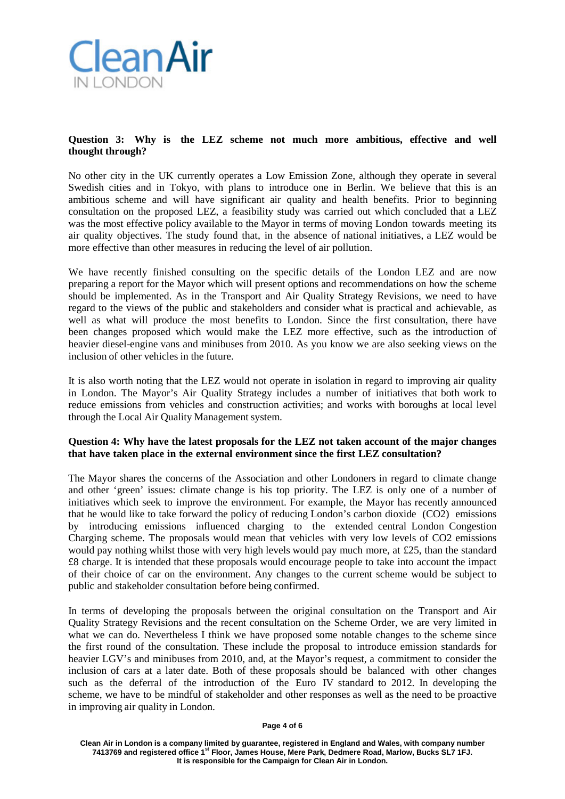

# **Question 3: Why is the LEZ scheme not much more ambitious, effective and well thought through?**

No other city in the UK currently operates a Low Emission Zone, although they operate in several Swedish cities and in Tokyo, with plans to introduce one in Berlin. We believe that this is an ambitious scheme and will have significant air quality and health benefits. Prior to beginning consultation on the proposed LEZ, a feasibility study was carried out which concluded that a LEZ was the most effective policy available to the Mayor in terms of moving London towards meeting its air quality objectives. The study found that, in the absence of national initiatives, a LEZ would be more effective than other measures in reducing the level of air pollution.

We have recently finished consulting on the specific details of the London LEZ and are now preparing a report for the Mayor which will present options and recommendations on how the scheme should be implemented. As in the Transport and Air Quality Strategy Revisions, we need to have regard to the views of the public and stakeholders and consider what is practical and achievable, as well as what will produce the most benefits to London. Since the first consultation, there have been changes proposed which would make the LEZ more effective, such as the introduction of heavier diesel-engine vans and minibuses from 2010. As you know we are also seeking views on the inclusion of other vehicles in the future.

It is also worth noting that the LEZ would not operate in isolation in regard to improving air quality in London. The Mayor's Air Quality Strategy includes a number of initiatives that both work to reduce emissions from vehicles and construction activities; and works with boroughs at local level through the Local Air Quality Management system.

# **Question 4: Why have the latest proposals for the LEZ not taken account of the major changes that have taken place in the external environment since the first LEZ consultation?**

The Mayor shares the concerns of the Association and other Londoners in regard to climate change and other 'green' issues: climate change is his top priority. The LEZ is only one of a number of initiatives which seek to improve the environment. For example, the Mayor has recently announced that he would like to take forward the policy of reducing London's carbon dioxide (CO2) emissions by introducing emissions influenced charging to the extended central London Congestion Charging scheme. The proposals would mean that vehicles with very low levels of CO2 emissions would pay nothing whilst those with very high levels would pay much more, at £25, than the standard £8 charge. It is intended that these proposals would encourage people to take into account the impact of their choice of car on the environment. Any changes to the current scheme would be subject to public and stakeholder consultation before being confirmed.

In terms of developing the proposals between the original consultation on the Transport and Air Quality Strategy Revisions and the recent consultation on the Scheme Order, we are very limited in what we can do. Nevertheless I think we have proposed some notable changes to the scheme since the first round of the consultation. These include the proposal to introduce emission standards for heavier LGV's and minibuses from 2010, and, at the Mayor's request, a commitment to consider the inclusion of cars at a later date. Both of these proposals should be balanced with other changes such as the deferral of the introduction of the Euro IV standard to 2012. In developing the scheme, we have to be mindful of stakeholder and other responses as well as the need to be proactive in improving air quality in London.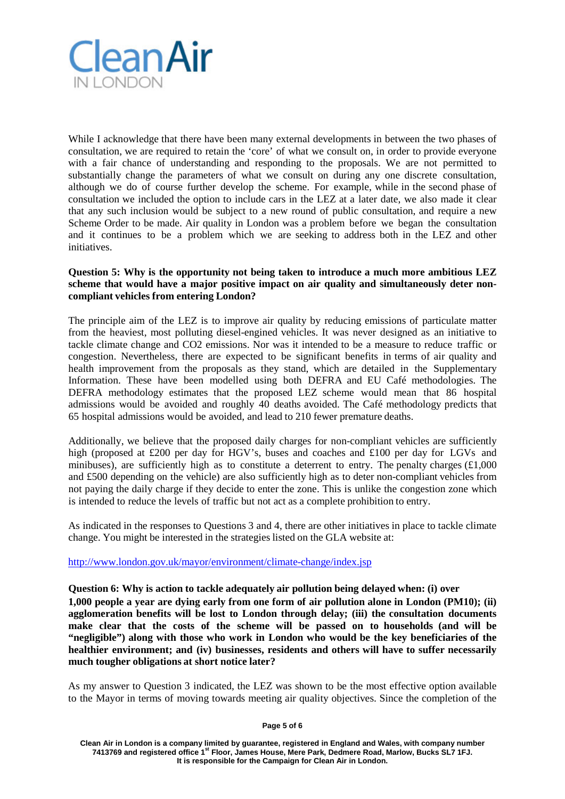

While I acknowledge that there have been many external developments in between the two phases of consultation, we are required to retain the 'core' of what we consult on, in order to provide everyone with a fair chance of understanding and responding to the proposals. We are not permitted to substantially change the parameters of what we consult on during any one discrete consultation, although we do of course further develop the scheme. For example, while in the second phase of consultation we included the option to include cars in the LEZ at a later date, we also made it clear that any such inclusion would be subject to a new round of public consultation, and require a new Scheme Order to be made. Air quality in London was a problem before we began the consultation and it continues to be a problem which we are seeking to address both in the LEZ and other initiatives.

# **Question 5: Why is the opportunity not being taken to introduce a much more ambitious LEZ scheme that would have a major positive impact on air quality and simultaneously deter noncompliant vehicles from entering London?**

The principle aim of the LEZ is to improve air quality by reducing emissions of particulate matter from the heaviest, most polluting diesel-engined vehicles. It was never designed as an initiative to tackle climate change and CO2 emissions. Nor was it intended to be a measure to reduce traffic or congestion. Nevertheless, there are expected to be significant benefits in terms of air quality and health improvement from the proposals as they stand, which are detailed in the Supplementary Information. These have been modelled using both DEFRA and EU Café methodologies. The DEFRA methodology estimates that the proposed LEZ scheme would mean that 86 hospital admissions would be avoided and roughly 40 deaths avoided. The Café methodology predicts that 65 hospital admissions would be avoided, and lead to 210 fewer premature deaths.

Additionally, we believe that the proposed daily charges for non-compliant vehicles are sufficiently high (proposed at £200 per day for HGV's, buses and coaches and £100 per day for LGVs and minibuses), are sufficiently high as to constitute a deterrent to entry. The penalty charges  $(\text{\pounds}1,000)$ and £500 depending on the vehicle) are also sufficiently high as to deter non-compliant vehicles from not paying the daily charge if they decide to enter the zone. This is unlike the congestion zone which is intended to reduce the levels of traffic but not act as a complete prohibition to entry.

As indicated in the responses to Questions 3 and 4, there are other initiatives in place to tackle climate change. You might be interested in the strategies listed on the GLA website at:

## [http://www.london.gov.uk/mayor/environment/climate-change/index.jsp](http://www.bbc.co.uk/go/dna/actionnetwork/F4743496/ext/_auto/-/http%3A/www.london.gov.uk/mayor/environment/climate-change/index.jsp)

**Question 6: Why is action to tackle adequately air pollution being delayed when: (i) over 1,000 people a year are dying early from one form of air pollution alone in London (PM10); (ii) agglomeration benefits will be lost to London through delay; (iii) the consultation documents make clear that the costs of the scheme will be passed on to households (and will be "negligible") along with those who work in London who would be the key beneficiaries of the healthier environment; and (iv) businesses, residents and others will have to suffer necessarily much tougher obligations at short notice later?**

As my answer to Question 3 indicated, the LEZ was shown to be the most effective option available to the Mayor in terms of moving towards meeting air quality objectives. Since the completion of the

**Page 5 of 6**

**Clean Air in London is a company limited by guarantee, registered in England and Wales, with company number 7413769 and registered office 1st Floor, James House, Mere Park, Dedmere Road, Marlow, Bucks SL7 1FJ. It is responsible for the Campaign for Clean Air in London.**